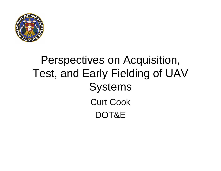

# Perspectives on Acquisition, Test, and Early Fielding of UAV Systems Curt Cook DOT&E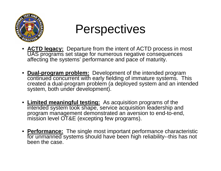

# Perspectives

- **ACTD legacy:** Departure from the intent of ACTD process in most UAS programs set stage for numerous negative consequences affecting the systems' performance and pace of maturity.
- **Dual-program problem:** Development of the intended program continued concurrent with early fielding of immature systems. This created a dual-program problem (a deployed system and an intended system, both under development).
- **Limited meaningful testing:** As acquisition programs of the intended system took shape, service acquisition leadership and program management demonstrated an aversion to end-to-end, mission level OT&E (excepting few programs).
- **Performance:** The single most important performance characteristic for unmanned systems should have been high reliability--this has not been the case.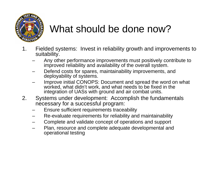

### What should be done now?

- 1. Fielded systems: Invest in reliability growth and improvements to suitability.
	- Any other performance improvements must positively contribute to improved reliability and availability of the overall system.
	- Defend costs for spares, maintainability improvements, and deployability of systems.
	- Improve initial CONOPS: Document and spread the word on what worked, what didn't work, and what needs to be fixed in the integration of UASs with ground and air combat units.
- 2. Systems under development: Accomplish the fundamentals necessary for a successful program:
	- Ensure sufficient requirements traceability
	- Re-evaluate requirements for reliability and maintainability
	- Complete and validate concept of operations and support
	- Plan, resource and complete adequate developmental and operational testing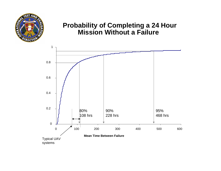

### **Probability of Completing a 24 Hour Mission Without a Failure**

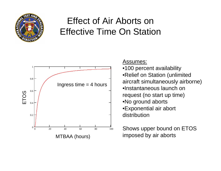

### Effect of Air Aborts on Effective Time On Station



#### Assumes:

•100 percent availability •Relief on Station (unlimited aircraft simultaneously airborne) •Instantaneous launch on request (no start up time) •No ground aborts •Exponential air abort distribution

Shows upper bound on ETOS imposed by air aborts